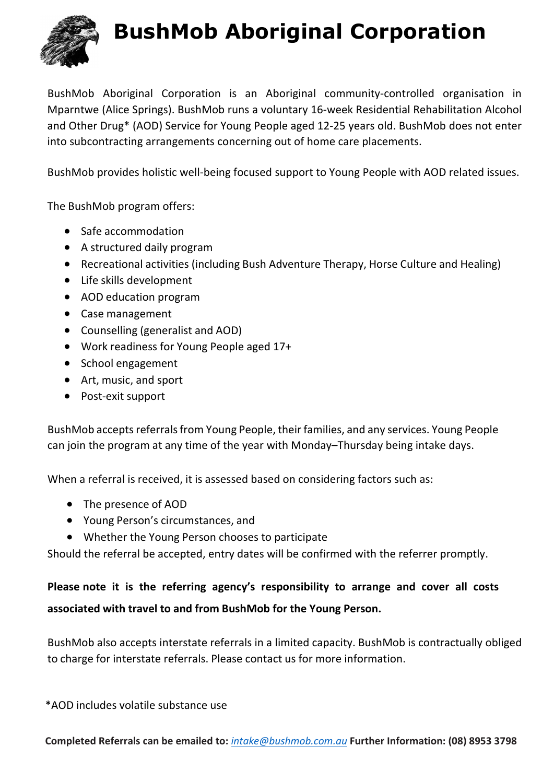

# **BushMob Aboriginal Corporation**

BushMob Aboriginal Corporation is an Aboriginal community-controlled organisation in Mparntwe (Alice Springs). BushMob runs a voluntary 16-week Residential Rehabilitation Alcohol and Other Drug\* (AOD) Service for Young People aged 12-25 years old. BushMob does not enter into subcontracting arrangements concerning out of home care placements.

BushMob provides holistic well-being focused support to Young People with AOD related issues.

The BushMob program offers:

- Safe accommodation
- A structured daily program
- Recreational activities (including Bush Adventure Therapy, Horse Culture and Healing)
- Life skills development
- AOD education program
- Case management
- Counselling (generalist and AOD)
- Work readiness for Young People aged 17+
- School engagement
- Art, music, and sport
- Post-exit support

BushMob accepts referrals from Young People, their families, and any services. Young People can join the program at any time of the year with Monday–Thursday being intake days.

When a referral is received, it is assessed based on considering factors such as:

- The presence of AOD
- Young Person's circumstances, and
- Whether the Young Person chooses to participate

Should the referral be accepted, entry dates will be confirmed with the referrer promptly.

### **Please note it is the referring agency's responsibility to arrange and cover all costs**

### **associated with travel to and from BushMob for the Young Person.**

BushMob also accepts interstate referrals in a limited capacity. BushMob is contractually obliged to charge for interstate referrals. Please contact us for more information.

\*AOD includes volatile substance use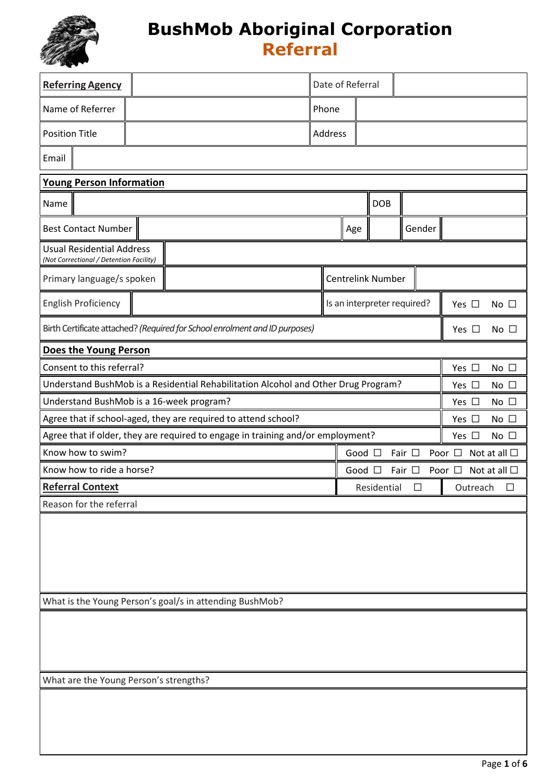

| <b>Referring Agency</b>                                                     |  |                                                                                    |  |         | Date of Referral |                   |                             |                                     |
|-----------------------------------------------------------------------------|--|------------------------------------------------------------------------------------|--|---------|------------------|-------------------|-----------------------------|-------------------------------------|
| Name of Referrer                                                            |  |                                                                                    |  | Phone   |                  |                   |                             |                                     |
| <b>Position Title</b>                                                       |  |                                                                                    |  | Address |                  |                   |                             |                                     |
| Email                                                                       |  |                                                                                    |  |         |                  |                   |                             |                                     |
| <b>Young Person Information</b>                                             |  |                                                                                    |  |         |                  |                   |                             |                                     |
| <b>DOB</b><br>Name                                                          |  |                                                                                    |  |         |                  |                   |                             |                                     |
| <b>Best Contact Number</b>                                                  |  |                                                                                    |  |         | Age              |                   | Gender                      |                                     |
| <b>Usual Residential Address</b><br>(Not Correctional / Detention Facility) |  |                                                                                    |  |         |                  |                   |                             |                                     |
| Primary language/s spoken                                                   |  |                                                                                    |  |         |                  | Centrelink Number |                             |                                     |
| <b>English Proficiency</b>                                                  |  |                                                                                    |  |         |                  |                   | Is an interpreter required? | Yes $\Box$<br>No $\square$          |
|                                                                             |  | Birth Certificate attached? (Required for School enrolment and ID purposes)        |  |         |                  |                   |                             | Yes $\square$<br>No $\square$       |
| Does the Young Person                                                       |  |                                                                                    |  |         |                  |                   |                             |                                     |
| Consent to this referral?                                                   |  |                                                                                    |  |         |                  |                   |                             | Yes $\square$<br>No $\square$       |
|                                                                             |  | Understand BushMob is a Residential Rehabilitation Alcohol and Other Drug Program? |  |         |                  |                   |                             | Yes $\square$<br>No $\square$       |
| Understand BushMob is a 16-week program?                                    |  |                                                                                    |  |         |                  |                   |                             | Yes $\square$<br>No $\square$       |
|                                                                             |  | Agree that if school-aged, they are required to attend school?                     |  |         |                  |                   |                             | Yes $\square$<br>No $\square$       |
|                                                                             |  | Agree that if older, they are required to engage in training and/or employment?    |  |         |                  |                   |                             | Yes $\square$<br>No $\square$       |
| Know how to swim?                                                           |  |                                                                                    |  |         | Good $\square$   |                   | Fair $\square$              | Poor $\Box$ Not at all $\Box$       |
| Know how to ride a horse?                                                   |  |                                                                                    |  |         | Good $\square$   |                   | Fair $\Box$                 | Not at all $\square$<br>Poor $\Box$ |
| <b>Referral Context</b>                                                     |  |                                                                                    |  |         |                  | Residential       | $\Box$                      | Ш<br>Outreach<br>$\Box$             |
| Reason for the referral                                                     |  |                                                                                    |  |         |                  |                   |                             |                                     |
|                                                                             |  |                                                                                    |  |         |                  |                   |                             |                                     |
| What is the Young Person's goal/s in attending BushMob?                     |  |                                                                                    |  |         |                  |                   |                             |                                     |
|                                                                             |  |                                                                                    |  |         |                  |                   |                             |                                     |
| What are the Young Person's strengths?                                      |  |                                                                                    |  |         |                  |                   |                             |                                     |
|                                                                             |  |                                                                                    |  |         |                  |                   |                             |                                     |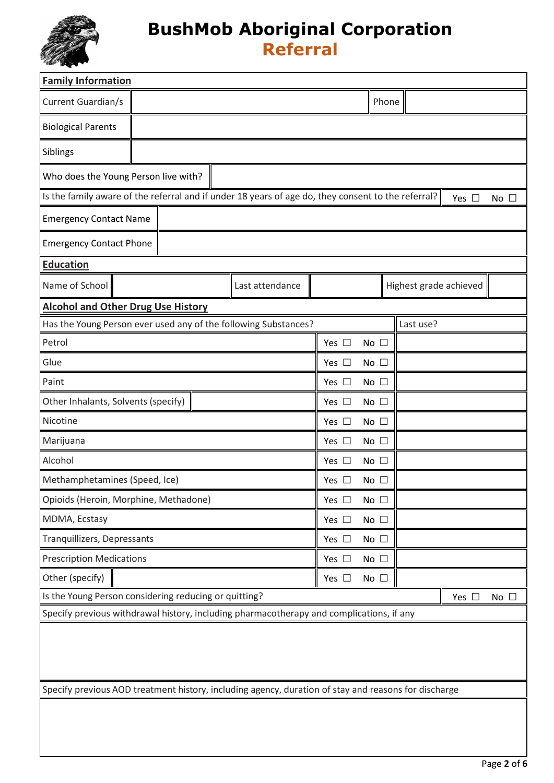

| <b>Family Information</b>                                                                                                           |                               |  |  |  |  |  |  |  |  |
|-------------------------------------------------------------------------------------------------------------------------------------|-------------------------------|--|--|--|--|--|--|--|--|
| Current Guardian/s                                                                                                                  | Phone                         |  |  |  |  |  |  |  |  |
| <b>Biological Parents</b>                                                                                                           |                               |  |  |  |  |  |  |  |  |
| Siblings                                                                                                                            |                               |  |  |  |  |  |  |  |  |
| Who does the Young Person live with?                                                                                                |                               |  |  |  |  |  |  |  |  |
| Is the family aware of the referral and if under 18 years of age do, they consent to the referral?<br>Yes $\square$<br>No $\square$ |                               |  |  |  |  |  |  |  |  |
| <b>Emergency Contact Name</b>                                                                                                       |                               |  |  |  |  |  |  |  |  |
| <b>Emergency Contact Phone</b>                                                                                                      |                               |  |  |  |  |  |  |  |  |
| <b>Education</b>                                                                                                                    |                               |  |  |  |  |  |  |  |  |
| Name of School<br>Last attendance                                                                                                   | Highest grade achieved        |  |  |  |  |  |  |  |  |
| <b>Alcohol and Other Drug Use History</b>                                                                                           |                               |  |  |  |  |  |  |  |  |
| Has the Young Person ever used any of the following Substances?                                                                     | Last use?                     |  |  |  |  |  |  |  |  |
| Petrol                                                                                                                              | Yes $\square$<br>No $\square$ |  |  |  |  |  |  |  |  |
| Glue                                                                                                                                | No $\square$<br>Yes $\Box$    |  |  |  |  |  |  |  |  |
| Paint                                                                                                                               | Yes $\square$<br>No $\square$ |  |  |  |  |  |  |  |  |
| Other Inhalants, Solvents (specify)                                                                                                 | Yes $\square$<br>No $\square$ |  |  |  |  |  |  |  |  |
| Nicotine                                                                                                                            | Yes $\Box$<br>No $\square$    |  |  |  |  |  |  |  |  |
| Marijuana                                                                                                                           | Yes $\Box$<br>No $\square$    |  |  |  |  |  |  |  |  |
| Alcohol                                                                                                                             | Yes $\square$<br>No $\square$ |  |  |  |  |  |  |  |  |
| Methamphetamines (Speed, Ice)                                                                                                       | Yes $\Box$<br>No $\square$    |  |  |  |  |  |  |  |  |
| Opioids (Heroin, Morphine, Methadone)                                                                                               | Yes $\square$<br>No $\square$ |  |  |  |  |  |  |  |  |
| MDMA, Ecstasy                                                                                                                       | No $\square$<br>Yes $\square$ |  |  |  |  |  |  |  |  |
| Tranquillizers, Depressants                                                                                                         | Yes $\square$<br>No $\square$ |  |  |  |  |  |  |  |  |
| <b>Prescription Medications</b>                                                                                                     | Yes $\square$<br>No $\square$ |  |  |  |  |  |  |  |  |
| Other (specify)                                                                                                                     | Yes $\square$<br>No $\square$ |  |  |  |  |  |  |  |  |
| Is the Young Person considering reducing or quitting?                                                                               | Yes $\square$<br>No $\square$ |  |  |  |  |  |  |  |  |
| Specify previous withdrawal history, including pharmacotherapy and complications, if any                                            |                               |  |  |  |  |  |  |  |  |
|                                                                                                                                     |                               |  |  |  |  |  |  |  |  |
| Specify previous AOD treatment history, including agency, duration of stay and reasons for discharge                                |                               |  |  |  |  |  |  |  |  |
|                                                                                                                                     |                               |  |  |  |  |  |  |  |  |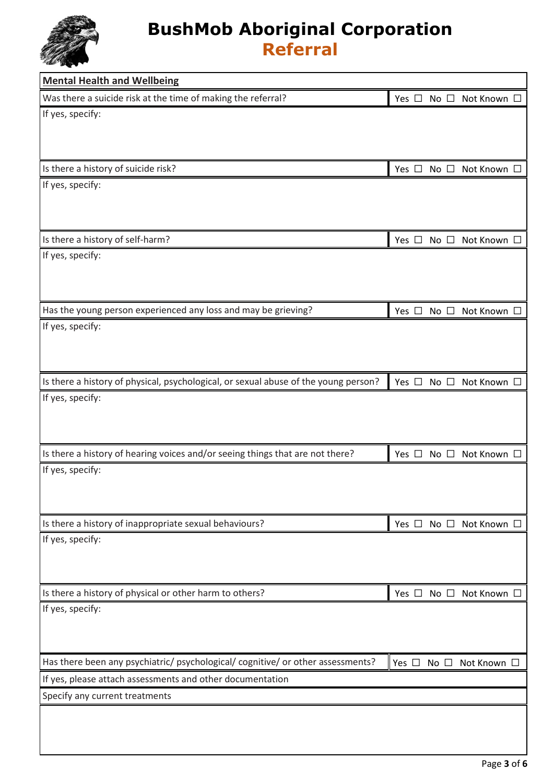

| <b>Mental Health and Wellbeing</b>                                                  |                        |              |                  |             |  |
|-------------------------------------------------------------------------------------|------------------------|--------------|------------------|-------------|--|
| Was there a suicide risk at the time of making the referral?                        | Yes $\Box$             |              | No □ Not Known □ |             |  |
| If yes, specify:                                                                    |                        |              |                  |             |  |
|                                                                                     |                        |              |                  |             |  |
|                                                                                     |                        |              |                  |             |  |
| Is there a history of suicide risk?                                                 | Yes □ No □ Not Known □ |              |                  |             |  |
| If yes, specify:                                                                    |                        |              |                  |             |  |
|                                                                                     |                        |              |                  |             |  |
|                                                                                     |                        |              |                  |             |  |
| Is there a history of self-harm?                                                    | Yes $\square$          | No $\square$ |                  | Not Known □ |  |
| If yes, specify:                                                                    |                        |              |                  |             |  |
|                                                                                     |                        |              |                  |             |  |
|                                                                                     |                        |              |                  |             |  |
| Has the young person experienced any loss and may be grieving?                      | Yes $\Box$             |              | No □ Not Known □ |             |  |
| If yes, specify:                                                                    |                        |              |                  |             |  |
|                                                                                     |                        |              |                  |             |  |
|                                                                                     |                        |              |                  |             |  |
| Is there a history of physical, psychological, or sexual abuse of the young person? | Yes □ No □ Not Known D |              |                  |             |  |
| If yes, specify:                                                                    |                        |              |                  |             |  |
|                                                                                     |                        |              |                  |             |  |
|                                                                                     |                        |              |                  |             |  |
| Is there a history of hearing voices and/or seeing things that are not there?       | Yes $\square$          | No $\square$ |                  | Not Known □ |  |
| If yes, specify:                                                                    |                        |              |                  |             |  |
|                                                                                     |                        |              |                  |             |  |
| Is there a history of inappropriate sexual behaviours?                              |                        |              |                  |             |  |
| If yes, specify:                                                                    | Yes □ No □ Not Known □ |              |                  |             |  |
|                                                                                     |                        |              |                  |             |  |
|                                                                                     |                        |              |                  |             |  |
| Is there a history of physical or other harm to others?                             | Yes □ No □ Not Known □ |              |                  |             |  |
| If yes, specify:                                                                    |                        |              |                  |             |  |
|                                                                                     |                        |              |                  |             |  |
|                                                                                     |                        |              |                  |             |  |
| Has there been any psychiatric/ psychological/ cognitive/ or other assessments?     | Yes $\square$          | No $\square$ |                  | Not Known □ |  |
| If yes, please attach assessments and other documentation                           |                        |              |                  |             |  |
| Specify any current treatments                                                      |                        |              |                  |             |  |
|                                                                                     |                        |              |                  |             |  |
|                                                                                     |                        |              |                  |             |  |
|                                                                                     |                        |              |                  |             |  |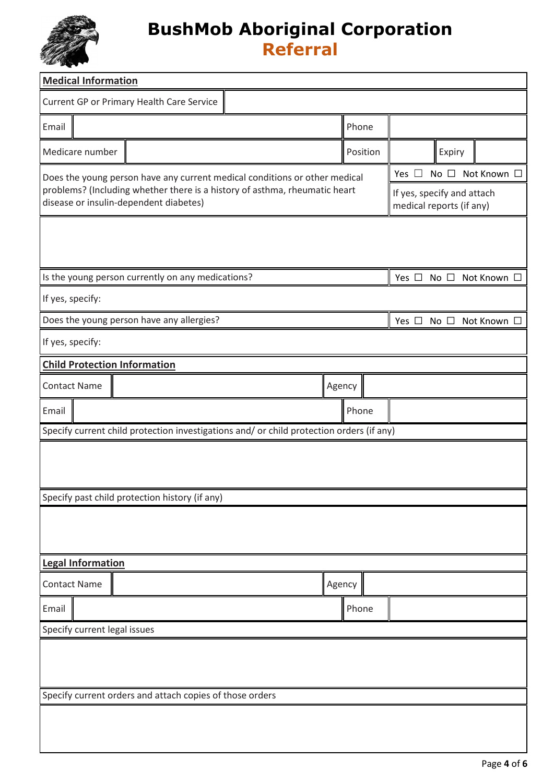

| <b>Medical Information</b>             |                                                                                          |  |                                                        |                                              |  |  |  |
|----------------------------------------|------------------------------------------------------------------------------------------|--|--------------------------------------------------------|----------------------------------------------|--|--|--|
|                                        | Current GP or Primary Health Care Service                                                |  |                                                        |                                              |  |  |  |
| Email                                  |                                                                                          |  | Phone                                                  |                                              |  |  |  |
| Medicare number                        |                                                                                          |  | Position                                               | Expiry                                       |  |  |  |
|                                        | Does the young person have any current medical conditions or other medical               |  | Not Known □<br>No $\square$<br>Yes $\square$           |                                              |  |  |  |
| disease or insulin-dependent diabetes) | problems? (Including whether there is a history of asthma, rheumatic heart               |  | If yes, specify and attach<br>medical reports (if any) |                                              |  |  |  |
|                                        |                                                                                          |  |                                                        |                                              |  |  |  |
|                                        |                                                                                          |  |                                                        |                                              |  |  |  |
|                                        | Is the young person currently on any medications?                                        |  |                                                        | No □ Not Known [<br>Yes $\square$            |  |  |  |
| If yes, specify:                       |                                                                                          |  |                                                        |                                              |  |  |  |
|                                        | Does the young person have any allergies?                                                |  |                                                        | Yes $\square$<br>No $\square$<br>Not Known □ |  |  |  |
| If yes, specify:                       |                                                                                          |  |                                                        |                                              |  |  |  |
| <b>Child Protection Information</b>    |                                                                                          |  |                                                        |                                              |  |  |  |
| <b>Contact Name</b>                    |                                                                                          |  | Agency                                                 |                                              |  |  |  |
| Email                                  |                                                                                          |  | Phone                                                  |                                              |  |  |  |
|                                        | Specify current child protection investigations and/ or child protection orders (if any) |  |                                                        |                                              |  |  |  |
|                                        |                                                                                          |  |                                                        |                                              |  |  |  |
|                                        |                                                                                          |  |                                                        |                                              |  |  |  |
|                                        | Specify past child protection history (if any)                                           |  |                                                        |                                              |  |  |  |
|                                        |                                                                                          |  |                                                        |                                              |  |  |  |
|                                        |                                                                                          |  |                                                        |                                              |  |  |  |
| <b>Legal Information</b>               |                                                                                          |  |                                                        |                                              |  |  |  |
| <b>Contact Name</b>                    |                                                                                          |  | Agency                                                 |                                              |  |  |  |
| Email                                  |                                                                                          |  | Phone                                                  |                                              |  |  |  |
| Specify current legal issues           |                                                                                          |  |                                                        |                                              |  |  |  |
|                                        |                                                                                          |  |                                                        |                                              |  |  |  |
|                                        |                                                                                          |  |                                                        |                                              |  |  |  |
|                                        | Specify current orders and attach copies of those orders                                 |  |                                                        |                                              |  |  |  |
|                                        |                                                                                          |  |                                                        |                                              |  |  |  |
|                                        |                                                                                          |  |                                                        |                                              |  |  |  |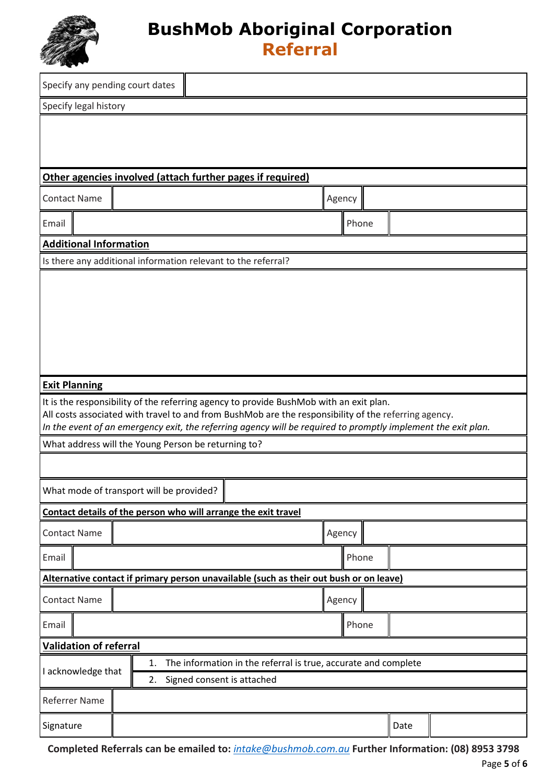

| Specify any pending court dates                                                                                                                                                                                       |    |                            |                                                                |        |       |      |  |
|-----------------------------------------------------------------------------------------------------------------------------------------------------------------------------------------------------------------------|----|----------------------------|----------------------------------------------------------------|--------|-------|------|--|
| Specify legal history                                                                                                                                                                                                 |    |                            |                                                                |        |       |      |  |
|                                                                                                                                                                                                                       |    |                            |                                                                |        |       |      |  |
| Other agencies involved (attach further pages if required)                                                                                                                                                            |    |                            |                                                                |        |       |      |  |
| <b>Contact Name</b>                                                                                                                                                                                                   |    |                            |                                                                | Agency |       |      |  |
| Email                                                                                                                                                                                                                 |    |                            |                                                                |        | Phone |      |  |
| <b>Additional Information</b>                                                                                                                                                                                         |    |                            |                                                                |        |       |      |  |
| Is there any additional information relevant to the referral?                                                                                                                                                         |    |                            |                                                                |        |       |      |  |
|                                                                                                                                                                                                                       |    |                            |                                                                |        |       |      |  |
| <b>Exit Planning</b>                                                                                                                                                                                                  |    |                            |                                                                |        |       |      |  |
| It is the responsibility of the referring agency to provide BushMob with an exit plan.                                                                                                                                |    |                            |                                                                |        |       |      |  |
| All costs associated with travel to and from BushMob are the responsibility of the referring agency.<br>In the event of an emergency exit, the referring agency will be required to promptly implement the exit plan. |    |                            |                                                                |        |       |      |  |
| What address will the Young Person be returning to?                                                                                                                                                                   |    |                            |                                                                |        |       |      |  |
|                                                                                                                                                                                                                       |    |                            |                                                                |        |       |      |  |
| What mode of transport will be provided?                                                                                                                                                                              |    |                            |                                                                |        |       |      |  |
| Contact details of the person who will arrange the exit travel                                                                                                                                                        |    |                            |                                                                |        |       |      |  |
| <b>Contact Name</b>                                                                                                                                                                                                   |    |                            |                                                                | Agency |       |      |  |
| Email                                                                                                                                                                                                                 |    |                            |                                                                |        | Phone |      |  |
| Alternative contact if primary person unavailable (such as their out bush or on leave)                                                                                                                                |    |                            |                                                                |        |       |      |  |
| <b>Contact Name</b>                                                                                                                                                                                                   |    |                            |                                                                | Agency |       |      |  |
| Email                                                                                                                                                                                                                 |    |                            |                                                                |        | Phone |      |  |
| <b>Validation of referral</b>                                                                                                                                                                                         |    |                            |                                                                |        |       |      |  |
| I acknowledge that                                                                                                                                                                                                    | 1. |                            | The information in the referral is true, accurate and complete |        |       |      |  |
|                                                                                                                                                                                                                       | 2. | Signed consent is attached |                                                                |        |       |      |  |
| Referrer Name                                                                                                                                                                                                         |    |                            |                                                                |        |       |      |  |
| Signature                                                                                                                                                                                                             |    |                            |                                                                |        |       | Date |  |

**Completed Referrals can be emailed to:** *[intake@bushmob.com.au](mailto:intake@bushmob.com.au)* **Further Information: (08) 8953 3798**